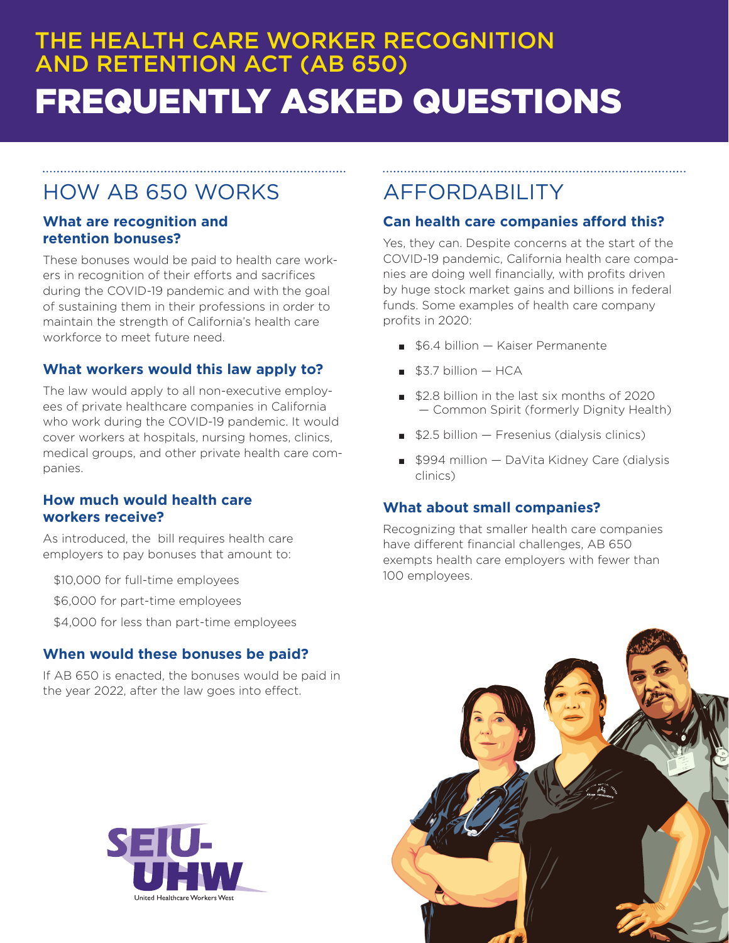# THE HEALTH CARE WORKER RECOGNITION AND RETENTION ACT (AB 650) FREQUENTLY ASKED QUESTIONS

## HOW AB 650 WORKS

#### **What are recognition and retention bonuses?**

These bonuses would be paid to health care workers in recognition of their efforts and sacrifices during the COVID-19 pandemic and with the goal of sustaining them in their professions in order to maintain the strength of California's health care workforce to meet future need.

#### **What workers would this law apply to?**

The law would apply to all non-executive employees of private healthcare companies in California who work during the COVID-19 pandemic. It would cover workers at hospitals, nursing homes, clinics, medical groups, and other private health care companies.

#### **How much would health care workers receive?**

As introduced, the bill requires health care employers to pay bonuses that amount to:

- \$10,000 for full-time employees
- \$6,000 for part-time employees
- \$4,000 for less than part-time employees

### **When would these bonuses be paid?**

If AB 650 is enacted, the bonuses would be paid in the year 2022, after the law goes into effect.

#### AFFORDABILITY

#### **Can health care companies afford this?**

Yes, they can. Despite concerns at the start of the COVID-19 pandemic, California health care companies are doing well financially, with profits driven by huge stock market gains and billions in federal funds. Some examples of health care company profits in 2020:

- \$6.4 billion Kaiser Permanente
- $$3.7$  billion  $-$  HCA
- \$2.8 billion in the last six months of 2020 — Common Spirit (formerly Dignity Health)
- $$2.5$  billion  $-$  Fresenius (dialysis clinics)
- \$994 million DaVita Kidney Care (dialysis clinics)

### **What about small companies?**

Recognizing that smaller health care companies have different financial challenges, AB 650 exempts health care employers with fewer than 100 employees.